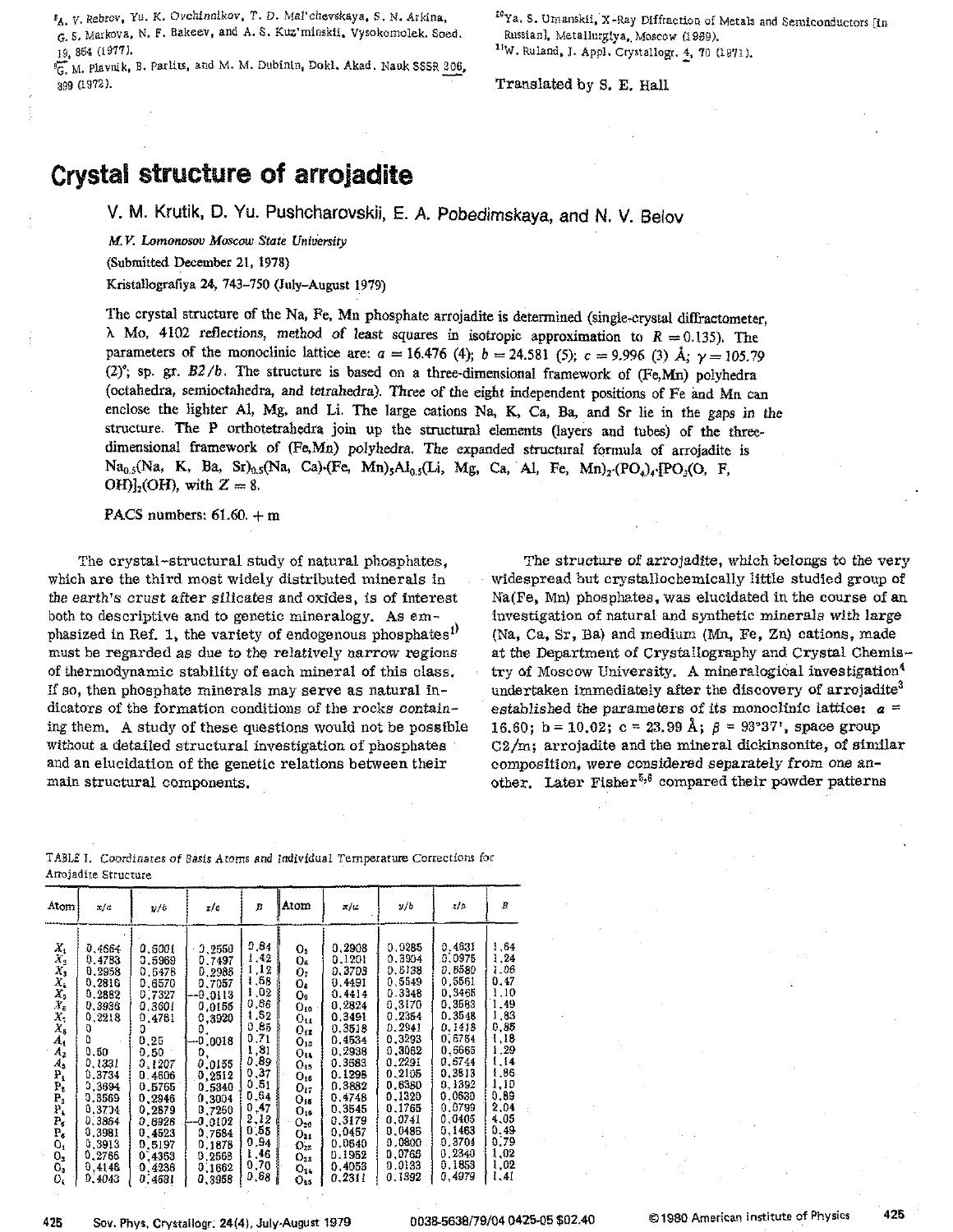*SA. V.* Rebrov, Yu. K. Ovchinnikov. T. D. Mal'chewkaya, S. N. Arkina-, G. s. Markova. N. F. Bakeev. and A. S. Kuz'minskii. Vysokomelek. Seed. 19, 864 [1977J.

<sup>9</sup>G. M. Plavnik, B. Parlits, and M. M. Dubinin, Dokl. Akad. Nauk SSSR 206. 399 (1972).

<sup>10</sup>Ya. S. Umanskii. X-Ray Diffraction of Metals and Semiconductors [in RussianJ. Metallurgiya•. Moscow (1969). 11W. Ruland. J. Appl. Crystallogr. 4, 70 (1971).

Translated by S. E. Hall

## Crystal structure of arrojadite

v. M. Krutik, D. Yu. Pushcharovskii, E. A. Pobedimskaya, and N. V. Belov

*M. v: Lomonosov Moscow State University*

(Submitted December 21, 1978)

Kristallografiya 24, 743-750 (July-August 1979)

The crystal structure of the Na, Fe, Mn phosphate arrojadite is determined (single-crystal diffractometer,  $\lambda$  Mo, 4102 reflections, method of least squares in isotropic approximation to  $R = 0.135$ ). The parameters of the monoclinic lattice are:  $a = 16.476$  (4);  $b = 24.581$  (5);  $c = 9.996$  (3) Å;  $\gamma = 105.79$ (2)°; sp. gr.  $B2/b$ . The structure is based on a three-dimensional framework of (Fe,Mn) polyhedra (octahedra, semioctahedra, and tetrahedra). Three of the eight independent positions of Fe imd Mn can enclose the lighter Al, Mg, and Li. The large cations Na, K, Ca, Ba, and Sr lie in the gaps in the structure. The P orthotetrahedra join up the structural elements (layers and tubes) of the threedimensional framework of (Fe,Mn) polyhedra. The expanded structural formula of arrojadite is  $Na_{0.5}(Na, K, Ba, Sr)_{0.5}(Na, Ca)$ ·(Fe, Mn)<sub>5</sub>Al<sub>0.5</sub>(Li, Mg, Ca, Al, Fe, Mn)<sub>2</sub>·(PO<sub>4</sub>)<sub>4</sub>·[PO<sub>3</sub>(O, F, OH $\int_2$ (OH), with  $Z = 8$ .

PACS numbers:  $61.60 + m$ 

The crystal-structural study of natural phosphates, which are the third most Widely distributed minerals in the earth's crust after silicates and OXides, is of interest both to descriptive and to genetic mineralogy. As emphasized in Ref. 1, the variety of endogenous phosphates<sup>1)</sup> must be regarded as due to the relatively narrow regions of thermodynamic stability of each mineral of this class. If so, then phosphate minerals may serve as natural indicators of the formation conditions of the rocks containing them. A study of these questions would not be possible Without a detailed structural investigation of phosphates and an elucidation of the genetic relations between their main structural components.

The structure of arrojadite, which belongs to the very Widespread but crystallochemically little studied group of Na(Fe, Mn) phosphates. was elucidated in the course of an Investigation of natural and synthetic minerals With large (Na, Ca, Sr. Ba) and medium (Mn, Fe, Zn) cations, made at the Department of Crystallography and Crystal Chemistry of Moscow University. A mineralogical investigation<sup>4</sup> undertaken immediately after the discovery of arrojadite<sup>3</sup> established the parameters of its monoclinic lattice:  $a =$ 16.60; b = 10.02; c = 23.99 Å;  $\beta$  = 93°37', space group C2/m; arrojadite and the mineral dickinsonite, of similar composition, were considered separately from one another. Later Fisher<sup>5,6</sup> compared their powder patterns

| Atom                                                                                                                                                                                                                                | x/a                                                                                                                                                                                                | v/b                                                                                                                                                                                              | zic                                                                                                                                                                                                                     | В                                                                                                                                                               | Atom                                                                                                                                                                                                                   | x/a                                                                                                                                                                                                            | y/b                                                                                                                                                                                                            | z/c                                                                                                                                                                                                            | B                                                                                                                                                                    |
|-------------------------------------------------------------------------------------------------------------------------------------------------------------------------------------------------------------------------------------|----------------------------------------------------------------------------------------------------------------------------------------------------------------------------------------------------|--------------------------------------------------------------------------------------------------------------------------------------------------------------------------------------------------|-------------------------------------------------------------------------------------------------------------------------------------------------------------------------------------------------------------------------|-----------------------------------------------------------------------------------------------------------------------------------------------------------------|------------------------------------------------------------------------------------------------------------------------------------------------------------------------------------------------------------------------|----------------------------------------------------------------------------------------------------------------------------------------------------------------------------------------------------------------|----------------------------------------------------------------------------------------------------------------------------------------------------------------------------------------------------------------|----------------------------------------------------------------------------------------------------------------------------------------------------------------------------------------------------------------|----------------------------------------------------------------------------------------------------------------------------------------------------------------------|
| Х,<br>$X_2$<br>Х,<br>$X_{k}$<br>X,<br>$Y_{6}$<br>Х,<br>X,<br>$A_1$<br>A <sub>2</sub><br>$A_{3}$<br>$\overline{\mathbf{b}}$<br>P,<br>$\mathbf{P}_{3}$<br>${\bf P_i}$<br>$\mathbf{P_{s}}$<br>$\mathbf{P_{c}}$<br>0,<br>0,<br>0,<br>0, | 0,4664<br>0.4783<br>0.2958<br>0,2816<br>0.2882<br>0.3936<br>0,2218<br>0<br>D<br>0.50<br>0.1331<br>0,3734<br>0,3694<br>0.3569<br>0,3734<br>0.3864<br>0.3981<br>0.3913<br>0,2766<br>0.4146<br>0,4043 | 0.6001<br>0.5969<br>0.6478<br>0.6570<br>0.7327<br>0,3601<br>0.4761<br>0.25<br>0.50<br>0.1207<br>0.4606<br>0.5765<br>0.2946<br>0,2879<br>0.6928<br>0.4523<br>0,5197<br>0.4363<br>0,4236<br>0.4631 | 3,2550<br>0.7497<br>0.2986<br>0.7057<br>--0.0113<br>0,0155<br>0,3920<br>0.<br>0.0018<br>$\mathbf{D}_{1}$<br>0.0155<br>0,2512<br>0.5340<br>0.3004<br>0.7260<br>-0.0102<br>0.7684<br>0.1878<br>0.2568<br>0.1662<br>0.3958 | 0,84<br>1,42<br>.12<br>.68<br>.02<br>0.86<br>.52<br>0.85<br>0.71<br>.81<br>0.89<br>0.37<br>0.51<br>0,64<br>0,47<br>2,12<br>0.55<br>0.94<br>1,46<br>0,70<br>0.68 | о,<br>Q.<br>ο.<br>Os<br>О.<br>$O_{10}$<br>$0_{11}$<br>$O_{12}$<br>O13<br>$0_{14}$<br>$O_{15}$<br>$O_{16}$<br>O <sub>17</sub><br>O16<br>$O_{19}$<br>$O_{20}$<br>$O_{21}$<br>$\mathrm{O}_{22}$<br>O23<br>$O_{24}$<br>O2s | 0.2908<br>0.1201<br>0.3703<br>0.4491<br>0.4414<br>0.2824<br>0.3491<br>0.3518<br>0.4534<br>0,2938<br>0.3683<br>0.1298<br>0.3882<br>0.4748<br>0.3545<br>0.3179<br>0.0457<br>0.0640<br>0.1952<br>0,4053<br>0.2311 | 0.0285<br>0.3904<br>0.6138<br>0.5549<br>0.3348<br>0.3170<br>0.2354<br>0.2941<br>0.3293<br>0,3062<br>0.2291<br>0.2105<br>0.6380<br>0.1320<br>0.1765<br>0.0741<br>0.0486<br>0.0800<br>0,0766<br>0.0133<br>0.1392 | 0.4631<br>0.0975<br>0.6580<br>0,5561<br>0.3465<br>0.3583<br>0.3548<br>0.1418<br>0.6754<br>0.6665<br>0.6744<br>0.3813<br>0.1392<br>0.0630<br>0.0799<br>0,0405<br>0.1463<br>0.3704<br>0.2340<br>0.1853<br>0,4979 | 1.64<br>1.24<br>1.06<br>0,47<br>1,10<br>1,49<br>1,83<br>0.35<br>1.18<br>1.29<br>1,14<br>1.86<br>1,10<br>0.89<br>2.04<br>4,05<br>0.49<br>0.79<br>1,02<br>1,02<br>1.41 |

TABLE 1. Coordinates of *Basis* Atoms and Individual Temperature Corrections fot Arrojadite Structure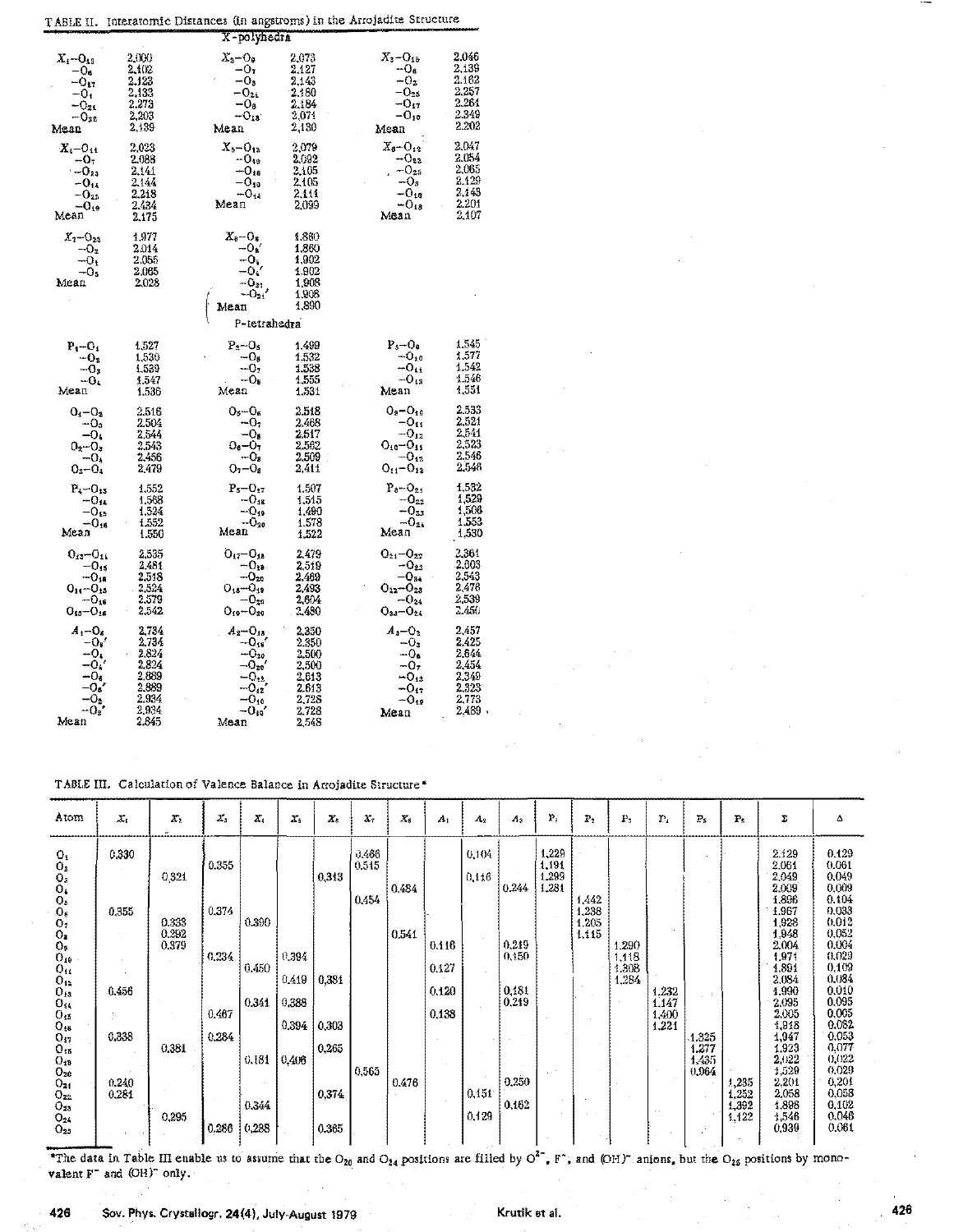|                                                                                             |                                                                               |                                                                                                                                               |                                                                               | TABLE II. Interatomic Distances (in angstroms) in the Arrojadite Structure                     |                                                                          |
|---------------------------------------------------------------------------------------------|-------------------------------------------------------------------------------|-----------------------------------------------------------------------------------------------------------------------------------------------|-------------------------------------------------------------------------------|------------------------------------------------------------------------------------------------|--------------------------------------------------------------------------|
|                                                                                             |                                                                               | X-polyhedra                                                                                                                                   |                                                                               |                                                                                                |                                                                          |
| $X_1 - O_{13}$<br>$-06$<br>$-O_{17}$<br>$-0i$<br>$-0_{25}$<br>$-0_{22}$<br>Mean             | 2,000<br>2.102<br>2.123<br>2.133<br>2.273<br>2,203<br>2,139                   | $\mathbb{Z}_2$ – $\mathrm{O}_9$<br>$-07$<br>-0,<br>$-0_{24}$<br>$-0s$<br>$-0_{10}$<br>меал                                                    | 2,073<br>2.127<br>2,143<br>2,180<br>2.184<br>2.071<br>2,130                   | $X_3 - O_{15}$<br>$-O_e$<br>$-02$<br>$-\mathbf{O}_{25}$<br>$-0_{17}$<br>$-0_{10}$<br>Меап      | 2.046<br>2.139<br>2.162<br>2.257<br>2.261<br>2,349<br>2.202              |
| $X_{1}-0_{11}$<br>$-O7$<br>$-0_{23}$<br>$-914$<br>-025<br>$-0_{19}$<br>Mean                 | 2,023<br>2.088<br>2.141<br>2.144<br>2,218<br>2.434<br>2.175                   | $X_5 - O_{12}$<br>$-0_{10}$<br>$-0_{16}$<br>–Օտ<br>$-0_{14}$<br>Mean                                                                          | 2,079<br>2.092<br>2,105<br>2,105<br>2,111<br>2,099                            | $X_3 - O_{12}$<br>– O22<br>$-0_{25}$<br>-03<br>–0 <sub>10</sub><br>$-0_{13}$<br>Mean           | 2,047<br>2.054<br>2,065<br>2.129<br>2.143<br>2.201<br>2,107              |
| $X_T$ - $O_{23}$<br>-02<br>-0,<br>-0.<br>Mean                                               | 1.977<br>2014<br>2,055<br>2.065<br>2,023                                      | $X_{\rm B}-O_{\rm S}$<br>–0s′<br>$-O_{\hat{h}}$<br>$-Ck$<br>$-0_{21}$<br>–Օցյ<br>Mean                                                         | 1,860<br>1,860<br>1,902<br>1.902<br>1,908<br>1,908<br>1,890                   |                                                                                                |                                                                          |
|                                                                                             |                                                                               | P-tetrahedra                                                                                                                                  |                                                                               |                                                                                                |                                                                          |
| $P_1 - O_2$<br>-0.<br>$-\mathbf{O}_3$<br>-0.<br>Mean                                        | 1.527<br>1,530<br>1,539<br>1,547<br>1.536                                     | $P_2 - O_5$<br>$-0s$<br>$-02$<br>–Ок<br>Mean                                                                                                  | 1.499<br>1,532<br>1.538<br>1,555<br>1,531                                     | $P_5 - O_9$<br>$-0_{10}$<br>$-0_{11}$<br>$-0_{12}$<br>Mean                                     | 1.545<br>1.577<br>1.542<br>1.546<br>1,551                                |
| $O_4 - O_2$<br>$-Q3$<br>$-0i$<br>$0_2 - 0_3$<br>$-0$<br>$0_{3}-0_{4}$                       | 2.516<br>2.504<br>2,544<br>2.543<br>2,456<br>2.479                            | $O_5 - O_6$<br>$-07$<br>-0.<br>$00-07$<br>–0.<br>$0,-0$                                                                                       | 2,518<br>2.468<br>2.517<br>2,562<br>2.509<br>2,411                            | $O_9 - O_{10}$<br>$-0_{11}$<br>$- O_{12}$<br>$O_{10} - O_{11}$<br>$-0_{12}$<br>$O_{11}-O_{12}$ | 2.533<br>2,521<br>2.541<br>2.523<br>2.546<br>2,546                       |
| $P_{4}-O_{15}$<br>-04<br>$-0_{15}$<br>$-0_{16}$<br>Меал                                     | 1,552<br>1,568<br>1.524<br>1,552<br>1.550                                     | $P_5 - O_{17}$<br>$-0_{18}$<br>$-0_{19}$<br>$-0_{20}$<br>Mean                                                                                 | 1.507<br>1.515<br>1,490<br>1.578<br>1.522                                     | $P_0 - O_{21}$<br>$-{\bf 0}_{22}$<br>$-Q_{23}$<br>$-O_{21}$<br>Меап                            | 1.532<br>1.529<br>1,506<br>1,553<br>1,530                                |
| $0_{13} - 0_{14}$<br>-0.s<br>$-0_{18}$<br>$O_{14} - O_{15}$<br>$-0_{16}$<br>$O_{43}-O_{16}$ | 2.535<br>2,481<br>2,518<br>2,524<br>2,579<br>2,542                            | $O_{17} - O_{18}$<br>-00<br>$-C_{20}$<br>$O_{18} - O_{18}$<br>$-0_{20}$<br>$O_{19} - O_{20}$                                                  | 2.479<br>2,519<br>2.469<br>2,493<br>2.604<br>2,480                            | $O_{21} - O_{22}$<br>–Օջ։<br>–0.,<br>$O_{22} - O_{23}$<br>$-0_{24}$<br>$O_{21} - O_{24}$       | 2,361<br>2,603<br>2.543<br>2,476<br>2.539<br>2.456                       |
| $A_1 - O_6$<br>–0√<br>$-0$<br>-0.<br>$-O6$<br>-0.,<br>-0,<br>$-02'$<br>Mean                 | 2.734<br>2.734<br>2.824<br>2.824<br>2.889<br>2.889<br>2.934<br>2,934<br>2.845 | $A_2 - Q_{18}$<br>$- O_{\mathfrak{z} \mathfrak{s}}$<br>$- O_{20}$<br>$- O_{20}$<br>$-C_{12}$<br>$- O_{12}$<br>$-0_{10}$<br>$- O_{10}$<br>Mean | 2,350<br>2.350<br>2.500<br>2,500<br>2,613<br>2.613<br>2.728<br>2,728<br>2.548 | $A_3 - O_2$<br>$-03$<br>$-05$<br>-0,<br>-013<br>$-0_{t}$<br>$\cdot$ O <sub>19</sub><br>Mean    | 2.457<br>2,425<br>2.644<br>2.454<br>2.349<br>2.323<br>2.773<br>$2,489$ . |

TABLE III. Calculation of Valence Balance in Arrojadite Structure\*

| Atom                                                                                                                                                                                                                                                                                                                                     | $X_{1}$                                            | $\mathcal{X}_2$                                    | х,                                                 | Χ,                                                 | $X_5$                                     | $\mathbf{z}_n$                                     | X <sub>z</sub>                   | $X_{\mathfrak{a}}$      | A <sub>1</sub>                   | $A_2$                            | A2                                                          | $P_1$                            | F <sub>2</sub>                   | P <sub>3</sub>                   | $P_{1}$                                           | $\mathbf{F}_\mathrm{s}$                       | P <sub>5</sub>                   | Σ                                                                                                                                                                                                                             | Δ                                                                                                                                                                                                                             |
|------------------------------------------------------------------------------------------------------------------------------------------------------------------------------------------------------------------------------------------------------------------------------------------------------------------------------------------|----------------------------------------------------|----------------------------------------------------|----------------------------------------------------|----------------------------------------------------|-------------------------------------------|----------------------------------------------------|----------------------------------|-------------------------|----------------------------------|----------------------------------|-------------------------------------------------------------|----------------------------------|----------------------------------|----------------------------------|---------------------------------------------------|-----------------------------------------------|----------------------------------|-------------------------------------------------------------------------------------------------------------------------------------------------------------------------------------------------------------------------------|-------------------------------------------------------------------------------------------------------------------------------------------------------------------------------------------------------------------------------|
| $O_1$<br>$\frac{O_2}{O_3}$<br>$O_5$<br>$\overline{O_6}$<br>O <sub>7</sub><br>O <sub>2</sub><br>O <sub>3</sub><br>$O_{10}$<br>$O_{11}$<br>$\overline{0}$ <sub>12</sub><br>$O_{13}$<br>$O_{14}$<br>$O_{15}$<br>$0_{11}$<br>$O_{12}$<br>$O_{13}$<br>$O_{42}$<br>O <sub>20</sub><br>$O_{21}$<br>$O_{22}$<br>$O_{25}$<br>$O_{24}$<br>$O_{25}$ | 0.330<br>0,355<br>0.456<br>0,338<br>0.240<br>0.281 | 0.321<br>0.333<br>0.292<br>0.379<br>0.381<br>0.295 | 0.355<br>0.374<br>0.234<br>0.467<br>0.284<br>0.286 | 0.390<br>0.450<br>0.341<br>0.181<br>0.344<br>0,288 | 0.394<br>0.419<br>0,388<br>0,394<br>0,406 | 0.313<br>0,381<br>0,303<br>0,265<br>0,374<br>0.365 | 0.466<br>0.515<br>0.454<br>0.565 | 0.484<br>0.541<br>0.476 | 0.116<br>0.127<br>0.120<br>0,138 | 0,104<br>0.146<br>0,151<br>0.129 | 0.244<br>0,249<br>0,150<br>0,181<br>0,219<br>0,250<br>0,162 | 1,229<br>1,191<br>1.299<br>1.281 | 1,442<br>1,238<br>1.205<br>1.115 | 1.290<br>1,118<br>1,308<br>1,284 | 1.232<br>1.147<br>1,400<br>1.221<br>$\sim$ $\sim$ | $\sim$ 10<br>1.325<br>1,277<br>1,435<br>0.964 | , 235<br>1,252<br>1,392<br>1.122 | 2.129<br>2.061<br>2.049<br>2,009<br>1,896<br>1,967<br>1,928<br>1,948<br>2,004<br>1,971<br>1.891<br>2,084<br>4,990<br>2.095<br>2.005<br>1,918<br>1,947<br>1,923<br>2,022<br>1,529<br>2,201<br>2,058<br>1,898<br>1,546<br>0,939 | 0.129<br>0.061<br>0.049<br>0,009<br>0.104<br>0.033<br>0,012<br>0.052<br>0,004<br>0,029<br>0,109<br>0,084<br>0.010<br>0.095<br>0,005<br>0.082<br>0.053<br>0.077<br>0,022<br>0.029<br>0,201<br>0,058<br>0,102<br>0.046<br>0.061 |

The data in Table III enable us to assume that the O<sub>20</sub> and O<sub>24</sub> positions are filled by O<sup>2-</sup>, F<sup>-</sup>, and (OH)<sup>-</sup> anions, but the O<sub>25</sub> positions by mono-valent F<sup>-</sup> and (OH)<sup>-</sup> only.

426 Sov. Phys. Crystallogr, 24(4), July-August 1979 426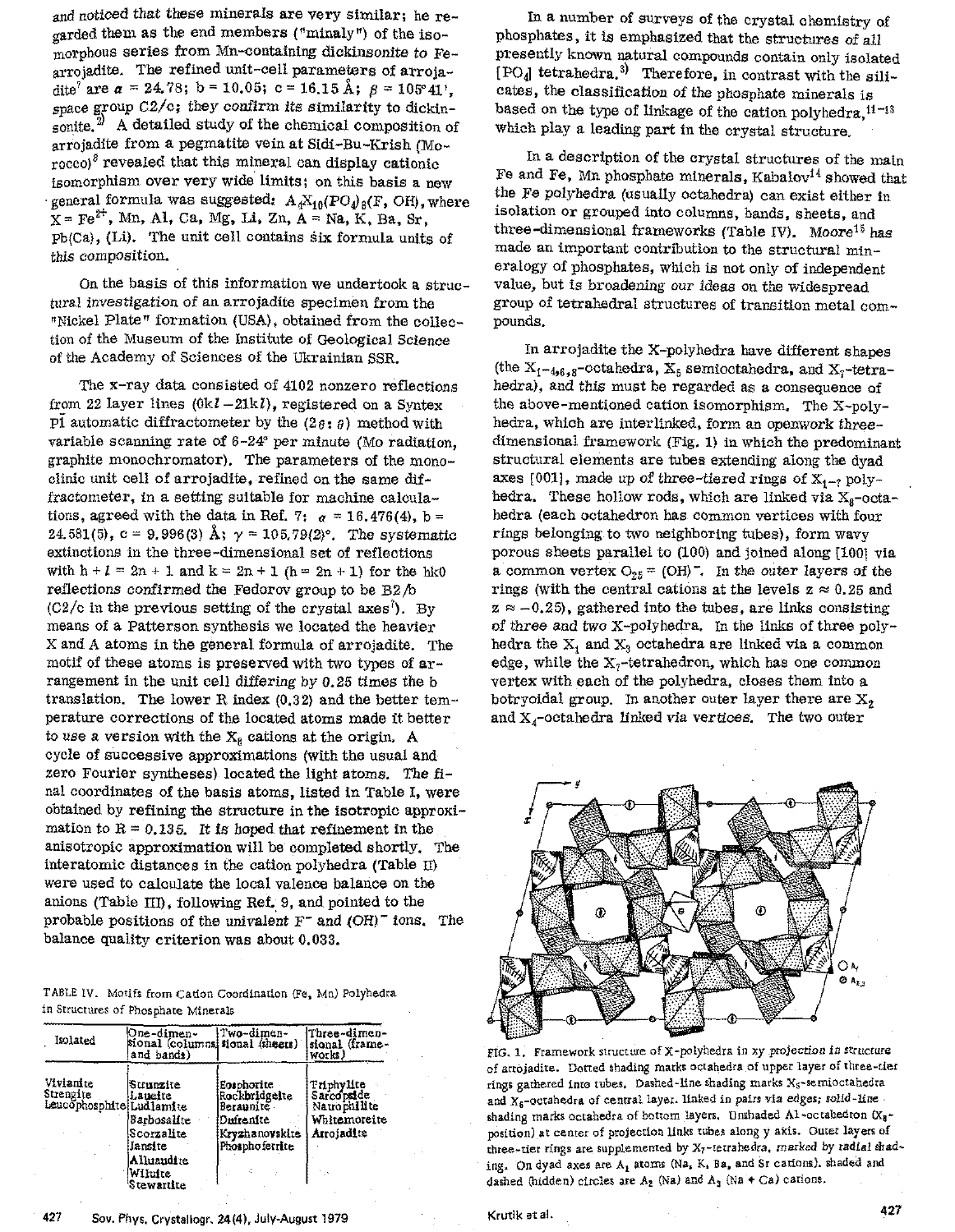and noticed that these minerals are very similar; he regarded them as the end members ("minaly") of the isomorphous series from Mn-containing dickinsonite to Fearrojadite. The refined unit-cell parameters of arrojadite<sup>7</sup> are  $\alpha = 24.78$ ; b = 10.05; c = 16.15 Å;  $\beta = 105^{\circ}41^{\circ}$ . space group  $C2/c$ ; they confirm its similarity to dickinsonite. $^{21}$  A detailed study of the chemical composition of arrojadite from a pegmatite vein at Sidi-Bu-Krish (Morocco)<sup>8</sup> revealed that this mineral can display cationic isomorphism over very wide limits; on this basis a new general formula was suggested:  $A_{4}X_{10}(PO_{4)8}(F, OH)$ , where  $X = Fe^{2+}$ , Mn, Al, Ca, Mg, Li, Zn, A = Na, K, Ba, Sr,  $Pb(Ca)$ , (Li). The unit cell contains six formula units of this composition..

On the basis of this information we undertook a structural investigation of an arrojadite specimen from the "Nickel Plate" formation (USA), obtained from the collection of the Museum of the Institute of Geological Scienoe of the Academy of Sciences of the Ukrainian SSR.

The x-ray data consisted of 4102 nonzero reflections from 22 layer lines  $(0k1-21k)$ , registered on a Syntex Pl automatic diffractometer by the  $(2\theta: \theta)$  method with variable scanning rate of 6-24" per minute (Mo radiation, graphite monochromator). The parameters of the monoclinic unit cell of arrojadite, refined on the same diffractometer, in a setting suitable for machine calculations, agreed with the data in Ref. 7:  $\alpha = 16.476(4)$ , b = 24.581(5), c = 9.996(3) Å,  $\gamma$  = 105.79(2)<sup>o</sup>. The systematic extinctions in the three-dimensional set of reflections with  $h + l = 2n + 1$  and  $k = 2n + 1$  (h = 2n + 1) for the hk0 reflections confirmed the Fedorov group to be  $B2/b$  $(C2/c)$  in the previous setting of the crystal axes<sup>7</sup>). By means of a Patterson synthesis we located the heavier X and A atoms in the general formula of arrojadite. The motif of these atoms is preserved with two types of arrangement in the unit cell differing by 0.25 times the b translation. The lower R index (0.32) and the better temperature corrections of the located atoms made it better to use a version with the  $X_8$  cations at the origin. A cycle of successive approximations (with the usual and zero Fourier syntheses) located the light atoms. The final coordinates of the basis atoms, listed in Table I, were obtained hy refining the structure in the isotropic approximation to  $R = 0.135$ . It is hoped that refinement in the anisotropic approximation will be completed shortly. The interatomic distances in the cation polyhedra (Table II) were used to calculate the local valence balance on the anions (Table TIn, following Ref. 9, and pointed to the probable positions of the univalent  $F^-$  and  $(OH)^-$  ions. The balance quality criterion was about 0.033.

|                                     |  | TABLE IV. Motifs from Cation Coordination (Fe, Mn) Polyhedra |  |  |
|-------------------------------------|--|--------------------------------------------------------------|--|--|
| in Structures of Phosphate Minerals |  |                                                              |  |  |

| Isolated                                           | One-dimen-<br>sional (columns sional (sheets)<br>and bands)                                         | Two-dimen-                                                                                | Three-dimen-<br>sional (frame-<br>works)                               |
|----------------------------------------------------|-----------------------------------------------------------------------------------------------------|-------------------------------------------------------------------------------------------|------------------------------------------------------------------------|
| Vivianite<br>Strengite<br>Leucophosphite Ludlamite | Strunzite<br>Lauelte<br>Barbosalite<br>Scorzalite<br>Jansite<br>Alluandite<br>Wilutte<br>Stewartite | Eosphorite<br>Rockbridgeite<br>Beraunite<br>Duirenite<br>Kryzhanovskite<br>Phosphoferrite | Triphylite<br>Sarcopside<br>Natrophilite<br>Whitemoreite<br>Arrojadite |

In a number of surveys of the crystal chemistry of phosphates, it is emphasized that the structures of all presently known natural compounds contain only isolated  $[PO_4]$  tetrahedra.<sup>3</sup>) Therefore, in contrast with the silicates, the classification of the phosphate minerals is based on the type of linkage of the cation polyhedra,  $11-13$ which playa leading part in the crystal structure.

In a description of the crystal structures of the main Fe and Fe, Mn phosphate minerals, Kabalov<sup>14</sup> showed that the Fe polyhedra (usually octahedra) can exist either in isolation or grouped into columns, hands, Sheets, and three-dimensional frameworks (Table IV). Moore<sup>15</sup> has made an important contribution to the structural mineralogy of phosphates, which is not only of independent value, but is broadening *our* ideas on the Widespread group of tetrahedral structures of transition metal compounds.

In arrojadite the X-polyhedra have different shapes (the  $X_{1-4,6,8}$ -octahedra,  $X_{5}$  semioctahedra, and  $X_{7}$ -tetrahedra), and this must be regarded as a consequence of the above-mentioned cation isomorphism. The X~polyhedra, whioh are interlinked, form an openwork threedimensional framework (Fig. 1) in which the predominant structural elements are tuhes extending along the dyad axes [001], made up of three-tiered rings of  $X_{1-7}$  polyhedra. These hollow rods, which are linked via  $X_{g}$ -octahedra (each octahedron has COmmon vertices with four rings helonging to two neighboring tubes), form wavy porous sheets parallel to  $(100)$  and joined along  $[100]$  via a common vertex  $O_{25}$  = (OH). In the outer layers of the rings (with the central cations at the levels  $z \approx 0.25$  and  $z \approx -0.25$ , gathered into the tubes, are links consisting of three and two x-polyhedra. In the links of three polyhedra the  $X_1$  and  $X_3$  octahedra are linked via a common edge, while the  $X<sub>7</sub>$ -tetrahedron, which has one common vertex with each of the polyhedra, closes them into a botryoidal group. In another outer layer there are  $X_2$ and  $X_4$ -octahedra linked via vertices. The two outer



FIG. 1. Framework structure of X-polyhedra in *xy* \_projection *in* Structure of artojadite. Dotted shading rnarks octahedra of upper layer of three~tier rings gathered into tubes. Dashed-line shading marks  $X_5$ -semioctahedra and  $X_6$ -octahedra of central layer. linked in pairs via edges; solid-line shading marks octahedra of bottom layers. Unshaded Al-octahedron  $(x_8$ position)at center of projection links tubes along y axis. Outer layers of three-tier rings are supplemented by  $X_7$ -terrahedra. marked by radial shading. On dyad axes are  $A_1$  atoms (Na, K. Ba. and Sr cations). shaded and dashed (hidden) circles are  $A_2$  (Na) and  $A_3$  (Na + Ca) carions.

427 Sov. Phys. Crystallogr. 24(4), July-August 1979 Krutik et al. And Krutik et al.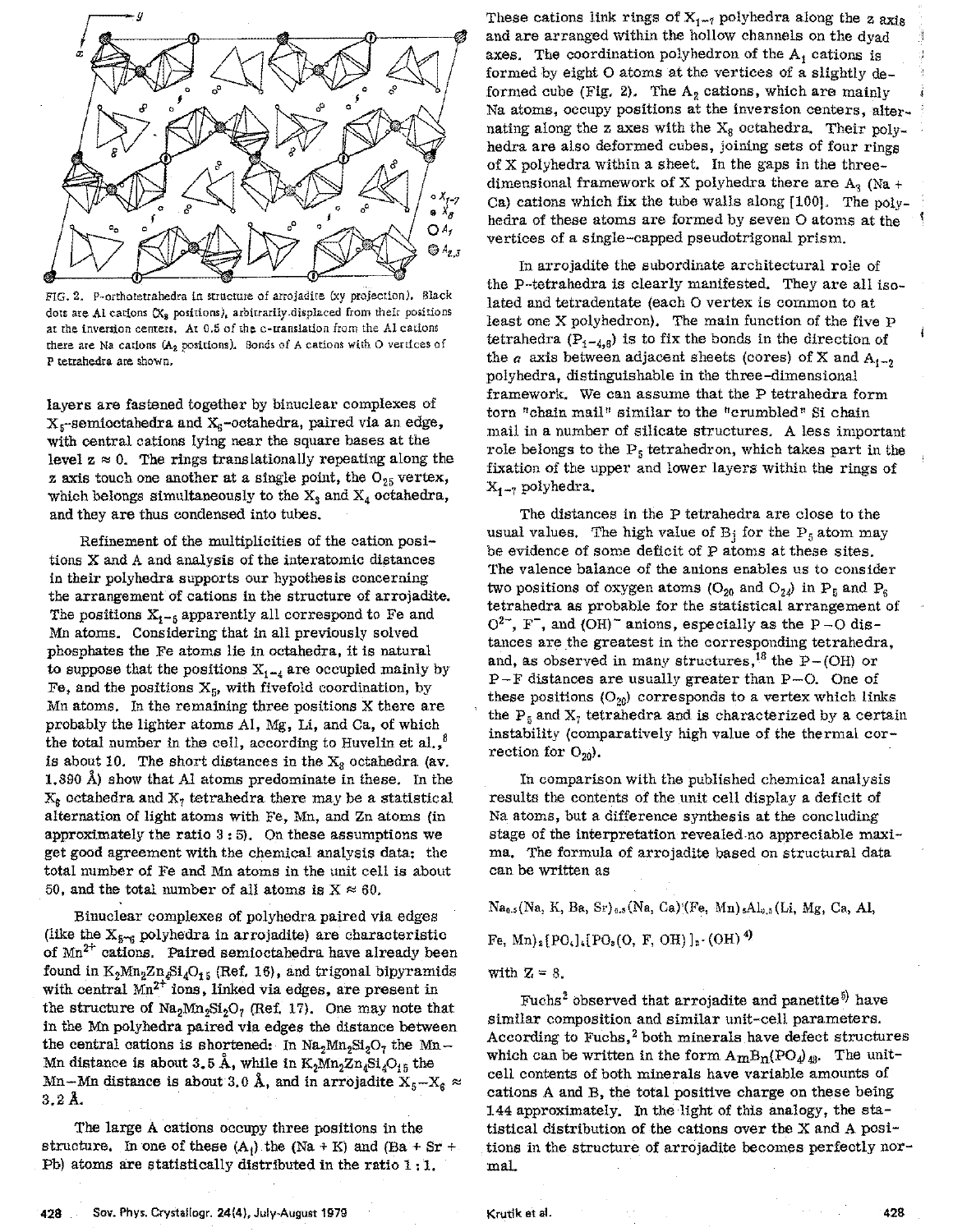

FIG. 2. P-orthoretrahedra in structure of arrojadite (xy projection). Black dots are Al cations  $(X_n)$  positions), arbitrarily displaced from their positions at the inversion centers. At 0.5 of the c-uanslation from the Al cations there are Na cations  $(A_2 \text{ positions})$ . Bonds of A cations with O vertices of P tetrahedra are shown.

layers are fastened together by binuclear complexes of  $X<sub>5</sub>$ -semioctahedra and  $X<sub>6</sub>$ -octahedra, paired via an edge, with central cations lying near the square bases at the level  $z \approx 0$ . The rings translationally repeating along the **z** axis touch one another at a single point, the  $O_{25}$  vertex, which belongs simultaneously to the  $X_3$  and  $X_4$  octahedra, and they are thus condensed into tuhes.

Refinement of the multiplicities of the cation positions X and A and analysis of the interatomic distances in their polyhedra supports our hypothesis concerning the arrangement of cations in the structure of arrojadite. The positions  $X_{1-\frac{5}{2}}$  apparently all correspond to Fe and Mn atoms. Considering that in all previously solved phosphates the Fe atoms lie in octahedra, it is natural to suppose that the positions  $X_{1-4}$  are occupied mainly by Fe, and the positions  $X_5$ , with fivefold coordination, by Mn atoms. In the remaining three positions X there are probably the ligbter atoms AI, Mg, Li, and Ca, of which the total number in the cell, according to Huvelin et al., $^8$ is about 10. The short distances in the  $X_8$  octahedra (av. 1.890 A) show that Al atoms predominate in these. In the  $X_6$  octahedra and  $X_7$  tetrahedra there may be a statistical alternation of light atoms with Fe, Mn, and Zn atoms (in approximately the ratio 3: 5). On these assumptions we get good agreement with the chemical analysis data: the total numher of Fe and Mn atoms in the unit cell is about 50, and the total number of all atoms is  $X \approx 60$ .

Binuclear complexes of polyhedra paired via edges (like the  $X_{5-6}$  polyhedra in arrojadite) are characteristic of Mn<sup>2+</sup> cations. Paired semioctahedra have already been found in  $K_2Mn_2Zn_4Si_4O_{15}$  (Ref. 16), and trigonal bipyramids with central  $Mn^{2+}$  ions, linked via edges, are present in the structure of  $\text{Na}_2\text{Mn}_2\text{Si}_2\text{O}_7$  (Ref. 17). One may note that in the Mn polyhedra paired via edges the distance hetween the central cations is shortened: In  $\text{Na}_2\text{Mn}_2\text{Si}_2\text{O}_7$  the Mn-Mn distance is about 3.5 Å, while in  $\mathrm{K}_2\mathrm{Mn}_2\mathrm{Zn}_4\mathrm{Si}_4\mathrm{O}_{15}$  the Mn-Mn distance is about 3.0 Å, and in arrojadite  $X_5-X_6 \approx$  $3.2 \text{ Å}.$ 

The large A cations occupy three positions in the structure. In one of these  $(A_1)$  the (Na + K) and (Ba + Sr + Pb) atoms are statistically distributed in the ratio 1 : 1.

These cations link rings of  $X_{1-7}$  polyhedra along the z axis and are arranged within the hollow channels on the dyad axes. The coordination polyhedron of the  $A_i$  cations is axes. The coordination polyneuron of the  $A_1$  cations is<br>formed by eight O atoms at the vertices of a slightly  $de$ formed cube (Fig. 2). The  $A_2$  cations, which are mainly Na atoms, occupy positions at the inversion centers, alternating along the z axes with the  $X_8$  octahedra. Their polyhedra are also deformed cubes, joining sets of four rings of X polyhedra within a sheet. In the gaps in the threedimensional framework of X polyhedra there are  $A_3$  (Na + Ca) cations which fix the tube walls along  $[100]$ . The polyhedra of these atoms are formed by seven 0 atoms at the vertices of a single-capped pseudotrigonal prism.

In arrojadite the subordinate architectural role of the P-tetrahedra is clearly manifested. They are all isolated and tetradentate (each O vertex is common to at least one X polyhedron). The main function of the five P tetrahedra ( $P_{1-4,8}$ ) is to fix the bonds in the direction of the  $a$  axis between adjacent sheets (cores) of X and  $A_{i-2}$ polyhedra, distinguishable in the three-dimensional framework. We can assume that the P tetrahedra form torn "chain mall" simllar to the "crumbled" 8i chain mail in a number of silicate structures. A less important role belongs to the  $P_5$  tetrahedron, which takes part in the fixation of the upper and lower layers within the rings of  $X_{1-7}$  polyhedra.

The distances in the P tetrahedra are close to the usual values. The high value of  $B_i$  for the  $P_5$  atom may be evidence of some deficit of P atoms at these sites. The valence balance of the anions enables us to consider two positions of oxygen atoms (O<sub>20</sub> and O<sub>24</sub>) in P<sub>5</sub> and P<sub>6</sub> tetrahedra as probable for the statistical arrangement of  $O^{2-}$ , F, and (OH)<sup>-</sup> anions, especially as the P-O distances are the greatest in the corresponding tetrahedra, and, as observed in many structures,<sup>18</sup> the P-(OH) or P-F distances are usually greater than P-O. One of these positions  $(O_{20})$  corresponds to a vertex which links the  $P_5$  and  $X_7$  tetrahedra and is characterized by a certain instability (comparatively high value of the thermal correction for  $O_{20}$ ).

In comparison with the published chemical analysis results the contents of the unit cell display a deficit of Na atoms, but a difference synthesis at the concluding stage of the interpretation revealed·no appreciable maxima. The formula of arrojadite based on structural data can be written as

 $Na_{0.5}(Na, K, Ba, Sr)_{0.5}(Na, Ga)$ '(Fe, Mn) $_6Al_{0.5}(Li, Mg, Ca, Al,$ 

Fe, Mn)<sub>2</sub>[PO<sub>s</sub>]<sub>4</sub>[PO<sub>s</sub>(O, F, OH)]<sub>2</sub>· (OH)<sup>4)</sup>

with  $Z = 8$ .

Fuchs<sup>2</sup> observed that arrojadite and panetite<sup>5)</sup> have simllar composition and similar unit-cell parameters. According to Fuchs, $^2$  both minerals have defect structures which can be written in the form  $A_{m}B_{n}(PO_{4})_{48}$ . The unitcell contents of both minerals have variable amounts of cations A and B, the total positive charge on these being 144 approximately. In the light of this analogy, the ststistical distribution of the cations over the X and A positions in the structure of arrojadite hecomes perfectly normal.